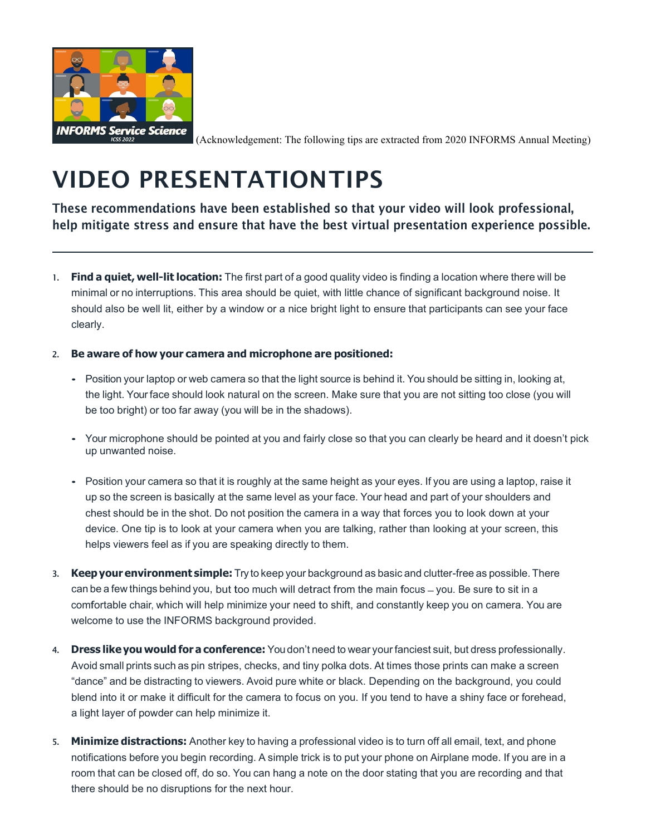

(Acknowledgement: The following tips are extracted from 2020 INFORMS Annual Meeting)

## VIDEO PRESENTATIONTIPS

These recommendations have been established so that your video will look professional, help mitigate stress and ensure that have the best virtual presentation experience possible.

1. **Find a quiet, well-lit location:** The first part of a good quality video is finding a location where there will be minimal or no interruptions. This area should be quiet, with little chance of significant background noise. It should also be well lit, either by a window or a nice bright light to ensure that participants can see your face clearly.

#### 2. **Be aware of how your camera and microphone are positioned:**

- Position your laptop or web camera so that the light source is behind it. You should be sitting in, looking at, the light. Your face should look natural on the screen. Make sure that you are not sitting too close (you will be too bright) or too far away (you will be in the shadows).
- Your microphone should be pointed at you and fairly close so that you can clearly be heard and it doesn't pick up unwanted noise.
- Position your camera so that it is roughly at the same height as your eyes. If you are using a laptop, raise it up so the screen is basically at the same level as your face. Your head and part of your shoulders and chest should be in the shot. Do not position the camera in a way that forces you to look down at your device. One tip is to look at your camera when you are talking, rather than looking at your screen, this helps viewers feel as if you are speaking directly to them.
- 3. **Keepyour environment simple:** Try to keep your background as basic and clutter-free as possible. There can be a few things behind you, but too much will detract from the main focus ̶ you. Be sure to sit in <sup>a</sup> comfortable chair, which will help minimize your need to shift, and constantly keep you on camera. You are welcome to use the INFORMS background provided.
- 4. **Dress like you would for a conference:** You don't need to wear your fanciest suit, but dress professionally. Avoid small prints such as pin stripes, checks, and tiny polka dots. At times those prints can make a screen "dance" and be distracting to viewers. Avoid pure white or black. Depending on the background, you could blend into it or make it difficult for the camera to focus on you. If you tend to have a shiny face or forehead, a light layer of powder can help minimize it.
- 5. **Minimize distractions:** Another key to having a professional video is to turn off all email, text, and phone notifications before you begin recording. A simple trick is to put your phone on Airplane mode. If you are in a room that can be closed off, do so. You can hang a note on the door stating that you are recording and that there should be no disruptions for the next hour.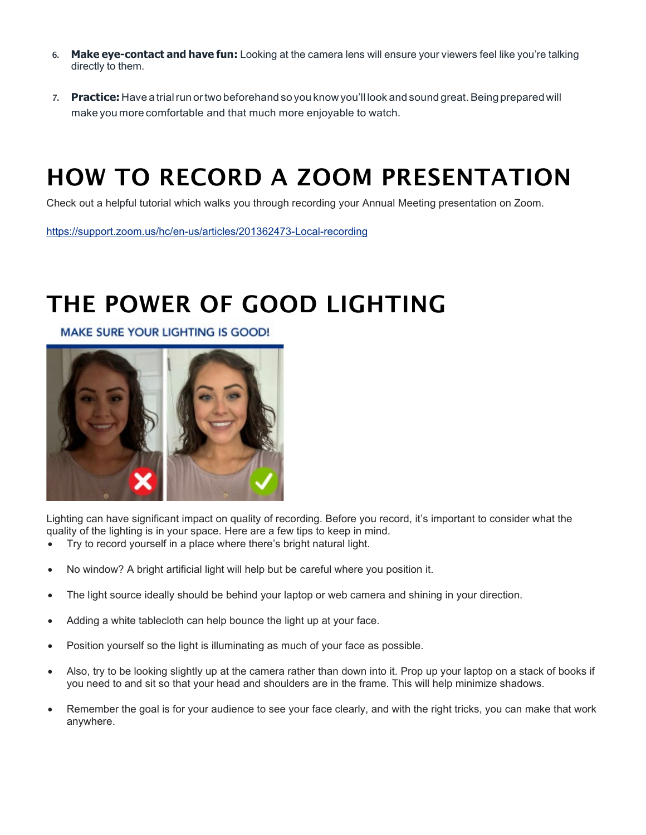- 6. **Make eye-contact and have fun:** Looking at the camera lens will ensure your viewers feel like you're talking directly to them.
- 7. **Practice:** Have a trialrun ortwo beforehand so you know you'll look and sound great.Being prepared will make you more comfortable and that much more enjoyable to watch.

## HOW TO RECORD A ZOOM PRESENTATION

Check out a helpful tutorial which walks you through recording your Annual Meeting presentation on Zoom.

<https://support.zoom.us/hc/en-us/articles/201362473-Local-recording>

## THE POWER OF GOOD LIGHTING

**MAKE SURE YOUR LIGHTING IS GOOD!** 



Lighting can have significant impact on quality of recording. Before you record, it's important to consider what the quality of the lighting is in your space. Here are a few tips to keep in mind.

- Try to record yourself in a place where there's bright natural light.
- No window? A bright artificial light will help but be careful where you position it.
- The light source ideally should be behind your laptop or web camera and shining in your direction.
- Adding a white tablecloth can help bounce the light up at your face.
- Position yourself so the light is illuminating as much of your face as possible.
- Also, try to be looking slightly up at the camera rather than down into it. Prop up your laptop on a stack of books if you need to and sit so that your head and shoulders are in the frame. This will help minimize shadows.
- Remember the goal is for your audience to see your face clearly, and with the right tricks, you can make that work anywhere.